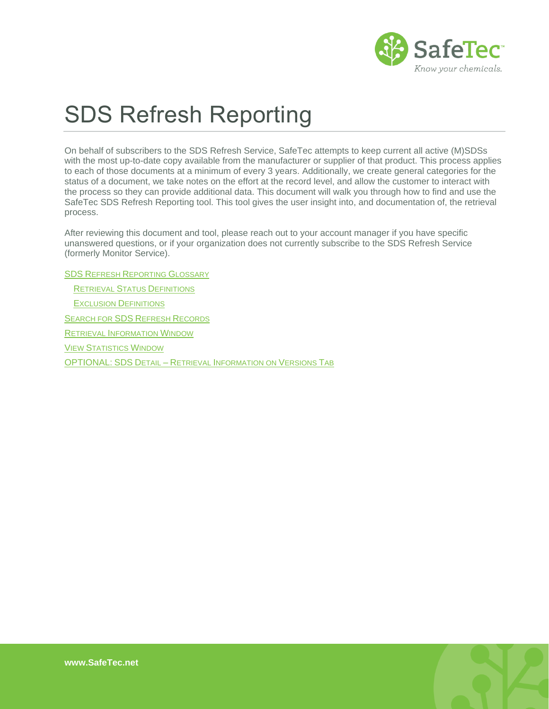

# SDS Refresh Reporting

On behalf of subscribers to the SDS Refresh Service, SafeTec attempts to keep current all active (M)SDSs with the most up-to-date copy available from the manufacturer or supplier of that product. This process applies to each of those documents at a minimum of every 3 years. Additionally, we create general categories for the status of a document, we take notes on the effort at the record level, and allow the customer to interact with the process so they can provide additional data. This document will walk you through how to find and use the SafeTec SDS Refresh Reporting tool. This tool gives the user insight into, and documentation of, the retrieval process.

After reviewing this document and tool, please reach out to your account manager if you have specific unanswered questions, or if your organization does not currently subscribe to the SDS Refresh Service (formerly Monitor Service).

SDS REFRESH R[EPORTING](#page-1-0) GLOSSARY

RETRIEVAL STATUS D[EFINITIONS](#page-1-1) EXCLUSION D[EFINITIONS](#page-2-0) S[EARCH FOR](#page-3-0) SDS REFRESH RECORDS RETRIEVAL I[NFORMATION](#page-4-0) WINDOW VIEW S[TATISTICS](#page-8-0) WINDOW OPTIONAL: SDS DETAIL – RETRIEVAL I[NFORMATION ON](#page-9-0) VERSIONS TAB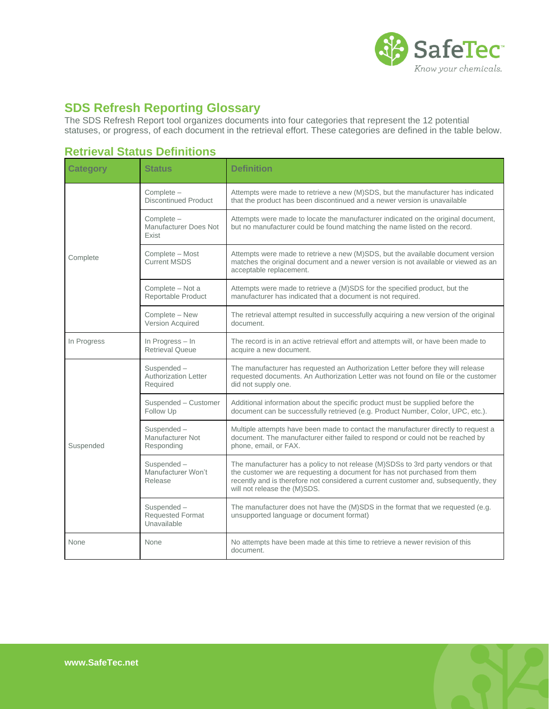

## <span id="page-1-0"></span>**SDS Refresh Reporting Glossary**

The SDS Refresh Report tool organizes documents into four categories that represent the 12 potential statuses, or progress, of each document in the retrieval effort. These categories are defined in the table below.

### <span id="page-1-1"></span>**Retrieval Status Definitions**

| <b>Category</b> | <b>Status</b>                                         | <b>Definition</b>                                                                                                                                                                                                                                                                     |
|-----------------|-------------------------------------------------------|---------------------------------------------------------------------------------------------------------------------------------------------------------------------------------------------------------------------------------------------------------------------------------------|
|                 | Complete -<br><b>Discontinued Product</b>             | Attempts were made to retrieve a new (M)SDS, but the manufacturer has indicated<br>that the product has been discontinued and a newer version is unavailable                                                                                                                          |
|                 | Complete -<br>Manufacturer Does Not<br>Exist          | Attempts were made to locate the manufacturer indicated on the original document,<br>but no manufacturer could be found matching the name listed on the record.                                                                                                                       |
| Complete        | Complete - Most<br><b>Current MSDS</b>                | Attempts were made to retrieve a new (M)SDS, but the available document version<br>matches the original document and a newer version is not available or viewed as an<br>acceptable replacement.                                                                                      |
|                 | Complete - Not a<br>Reportable Product                | Attempts were made to retrieve a (M)SDS for the specified product, but the<br>manufacturer has indicated that a document is not required.                                                                                                                                             |
|                 | Complete - New<br>Version Acquired                    | The retrieval attempt resulted in successfully acquiring a new version of the original<br>document.                                                                                                                                                                                   |
| In Progress     | In Progress - In<br><b>Retrieval Queue</b>            | The record is in an active retrieval effort and attempts will, or have been made to<br>acquire a new document.                                                                                                                                                                        |
|                 | Suspended-<br><b>Authorization Letter</b><br>Required | The manufacturer has requested an Authorization Letter before they will release<br>requested documents. An Authorization Letter was not found on file or the customer<br>did not supply one.                                                                                          |
|                 | Suspended - Customer<br>Follow Up                     | Additional information about the specific product must be supplied before the<br>document can be successfully retrieved (e.g. Product Number, Color, UPC, etc.).                                                                                                                      |
| Suspended       | Suspended-<br>Manufacturer Not<br>Responding          | Multiple attempts have been made to contact the manufacturer directly to request a<br>document. The manufacturer either failed to respond or could not be reached by<br>phone, email, or FAX.                                                                                         |
|                 | Suspended-<br>Manufacturer Won't<br>Release           | The manufacturer has a policy to not release (M)SDSs to 3rd party vendors or that<br>the customer we are requesting a document for has not purchased from them<br>recently and is therefore not considered a current customer and, subsequently, they<br>will not release the (M)SDS. |
|                 | Suspended-<br><b>Requested Format</b><br>Unavailable  | The manufacturer does not have the (M)SDS in the format that we requested (e.g.<br>unsupported language or document format)                                                                                                                                                           |
| None            | None                                                  | No attempts have been made at this time to retrieve a newer revision of this<br>document.                                                                                                                                                                                             |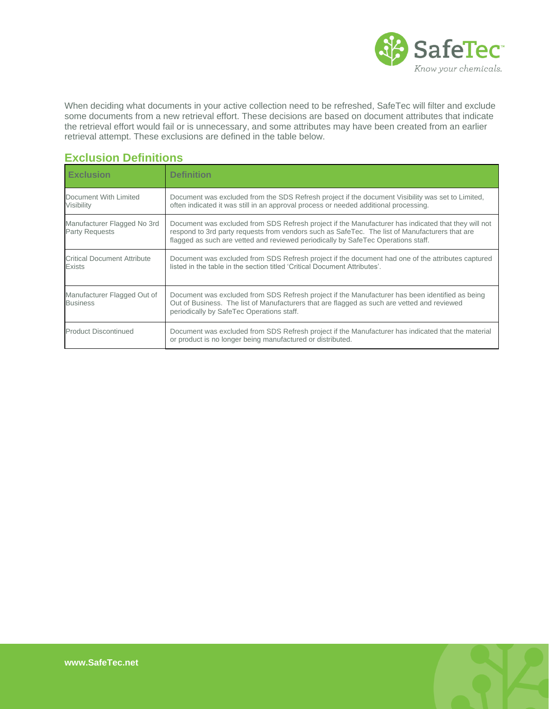

When deciding what documents in your active collection need to be refreshed, SafeTec will filter and exclude some documents from a new retrieval effort. These decisions are based on document attributes that indicate the retrieval effort would fail or is unnecessary, and some attributes may have been created from an earlier retrieval attempt. These exclusions are defined in the table below.

#### <span id="page-2-0"></span>**Exclusion Definitions**

| <b>Exclusion</b>                                     | <b>Definition</b>                                                                                                                                                                                                                                                                          |
|------------------------------------------------------|--------------------------------------------------------------------------------------------------------------------------------------------------------------------------------------------------------------------------------------------------------------------------------------------|
| Document With Limited<br>Visibility                  | Document was excluded from the SDS Refresh project if the document Visibility was set to Limited,<br>often indicated it was still in an approval process or needed additional processing.                                                                                                  |
| Manufacturer Flagged No 3rd<br><b>Party Requests</b> | Document was excluded from SDS Refresh project if the Manufacturer has indicated that they will not<br>respond to 3rd party requests from vendors such as SafeTec. The list of Manufacturers that are<br>flagged as such are vetted and reviewed periodically by SafeTec Operations staff. |
| <b>Critical Document Attribute</b><br>Exists         | Document was excluded from SDS Refresh project if the document had one of the attributes captured<br>listed in the table in the section titled 'Critical Document Attributes'.                                                                                                             |
| Manufacturer Flagged Out of<br><b>Business</b>       | Document was excluded from SDS Refresh project if the Manufacturer has been identified as being<br>Out of Business. The list of Manufacturers that are flagged as such are vetted and reviewed<br>periodically by SafeTec Operations staff.                                                |
| <b>Product Discontinued</b>                          | Document was excluded from SDS Refresh project if the Manufacturer has indicated that the material<br>or product is no longer being manufactured or distributed.                                                                                                                           |

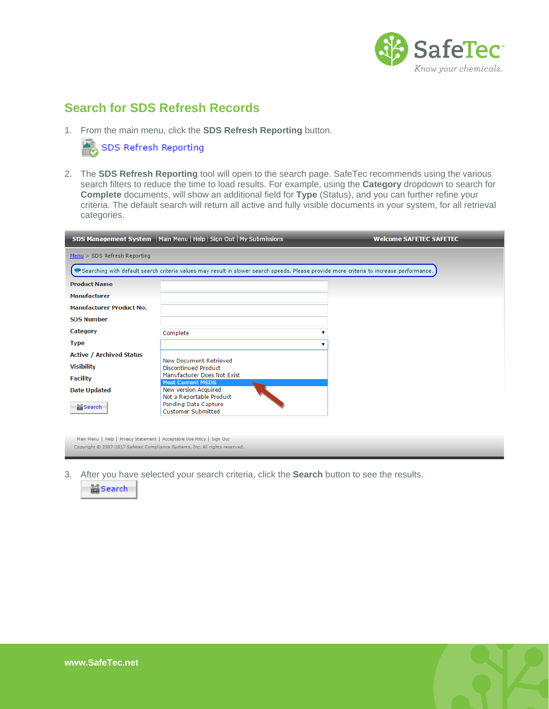

# <span id="page-3-0"></span>**Search for SDS Refresh Records**

1. From the main menu, click the **SDS Refresh Reporting** button.

SDS Refresh Reporting

2. The **SDS Refresh Reporting** tool will open to the search page. SafeTec recommends using the various search filters to reduce the time to load results. For example, using the **Category** dropdown to search for **Complete** documents, will show an additional field for **Type** (Status), and you can further refine your criteria. The default search will return all active and fully visible documents in your system, for all retrieval categories.

|                                 | SDS Management System   Main Menu   Help   Sign Out   My Submissions                                                                      | <b>Welcome SAFETEC SAFETEC</b> |  |  |  |  |  |  |
|---------------------------------|-------------------------------------------------------------------------------------------------------------------------------------------|--------------------------------|--|--|--|--|--|--|
| Menu > SDS Refresh Reporting    |                                                                                                                                           |                                |  |  |  |  |  |  |
|                                 | • Searching with default search criteria values may result in slower search speeds. Please provide more criteria to increase performance. |                                |  |  |  |  |  |  |
| <b>Product Name</b>             |                                                                                                                                           |                                |  |  |  |  |  |  |
| <b>Manufacturer</b>             |                                                                                                                                           |                                |  |  |  |  |  |  |
| <b>Manufacturer Product No.</b> |                                                                                                                                           |                                |  |  |  |  |  |  |
| <b>SDS Number</b>               |                                                                                                                                           |                                |  |  |  |  |  |  |
| Category                        | Complete                                                                                                                                  |                                |  |  |  |  |  |  |
| <b>Type</b>                     |                                                                                                                                           |                                |  |  |  |  |  |  |
| <b>Active / Archived Status</b> | <b>New Document Retrieved</b>                                                                                                             |                                |  |  |  |  |  |  |
| <b>Visibility</b>               | Discontinued Product                                                                                                                      |                                |  |  |  |  |  |  |
| <b>Facility</b>                 | Manufacturer Does Not Exist<br><b>Most Current MSDS</b>                                                                                   |                                |  |  |  |  |  |  |
| <b>Date Updated</b>             | New Version Acquired<br>Not a Reportable Product                                                                                          |                                |  |  |  |  |  |  |
| isearch                         | Pending Data Capture<br><b>Customer Submitted</b>                                                                                         |                                |  |  |  |  |  |  |
|                                 |                                                                                                                                           |                                |  |  |  |  |  |  |

Main Menu | Help | Privacy Statement | Acceptable Use Policy | Sign Out Copyright @ 2007-2017 Safetec Compliance Systems, Inc. All rights reserved.

3. After you have selected your search criteria, click the **Search** button to see the results.



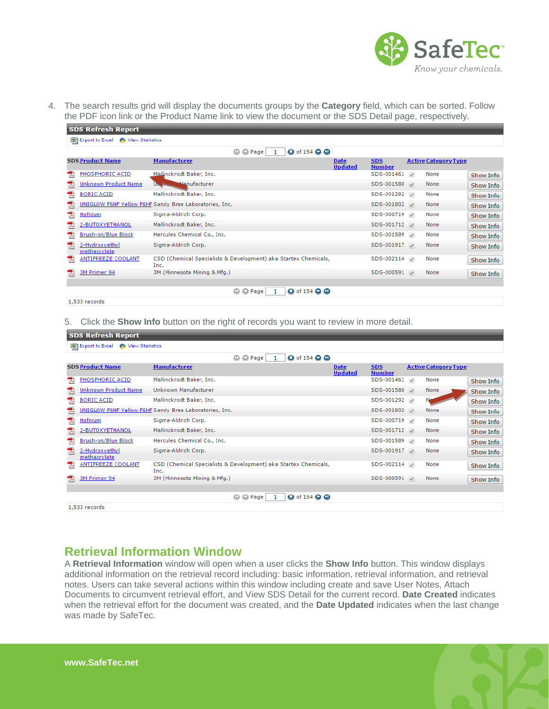

4. The search results grid will display the documents groups by the **Category** field, which can be sorted. Follow the PDF icon link or the Product Name link to view the document or the SDS Detail page, respectively.

| <b>SDS Refresh Report</b>                        |                                                                         |                               |                             |                             |           |  |  |
|--------------------------------------------------|-------------------------------------------------------------------------|-------------------------------|-----------------------------|-----------------------------|-----------|--|--|
| 图 Export to Excel<br>View Statistics             |                                                                         |                               |                             |                             |           |  |  |
| <b>O</b> of 154 <b>O</b><br>© Page<br>$^{\circ}$ |                                                                         |                               |                             |                             |           |  |  |
| <b>SDS Product Name</b>                          | <b>Manufacturer</b>                                                     | <b>Date</b><br><b>Updated</b> | <b>SDS</b><br><b>Number</b> | <b>Active Category Type</b> |           |  |  |
| PHOSPHORIC ACID<br>ᆺ                             | Mallinckrodt Baker, Inc.                                                |                               | SDS-001461                  | None                        | Show Info |  |  |
| Unknown Product Name                             | <b>U<sub>N</sub></b> Street Manufacturer                                |                               | SDS-001580                  | None                        | Show Info |  |  |
| <b>BORIC ACID</b><br>ᅐ                           | Mallinckrodt Baker, Inc.                                                |                               | SDS-001292                  | None                        | Show Info |  |  |
|                                                  | UNIGLOW F6HF Yellow F6HF Sandy Brae Laboratories, Inc.                  |                               | SDS-001802                  | None                        | Show Info |  |  |
| <b>Hafnium</b><br>ᆺ                              | Sigma-Aldrich Corp.                                                     |                               | SDS-000719                  | None                        | Show Info |  |  |
| 2-BUTOXYETHANOL                                  | Mallinckrodt Baker, Inc.                                                |                               | SDS-001712                  | None                        | Show Info |  |  |
| Brush-on/Blue Block<br>ᅐ                         | Hercules Chemical Co., Inc.                                             |                               | SDS-001589                  | None                        | Show Info |  |  |
| 2-Hydroxyethyl<br>methacrylate                   | Sigma-Aldrich Corp.                                                     |                               | SDS-001917                  | None                        | Show Info |  |  |
| <b>ANTIFREEZE COOLANT</b>                        | CSD (Chemical Specialists & Development) aka Startex Chemicals,<br>Inc. |                               | SDS-002114                  | None                        | Show Info |  |  |
| 3M Primer 94                                     | 3M (Minnesota Mining & Mfg.)                                            |                               | SDS-000591                  | None                        | Show Info |  |  |
|                                                  | <b>O</b> of 154 <b>Q</b><br>© Page<br>۵                                 |                               |                             |                             |           |  |  |
| 1,533 records                                    |                                                                         |                               |                             |                             |           |  |  |

5. Click the **Show Info** button on the right of records you want to review in more detail.

| <b>SDS Refresh Report</b>            |                                                                         |                               |                             |               |                             |           |  |  |
|--------------------------------------|-------------------------------------------------------------------------|-------------------------------|-----------------------------|---------------|-----------------------------|-----------|--|--|
| Export to Excel 4 View Statistics    |                                                                         |                               |                             |               |                             |           |  |  |
| <b>O</b> of 154 <b>O</b><br>© © Page |                                                                         |                               |                             |               |                             |           |  |  |
| <b>SDS Product Name</b>              | <b>Manufacturer</b>                                                     | <b>Date</b><br><b>Updated</b> | <b>SDS</b><br><b>Number</b> |               | <b>Active Category Type</b> |           |  |  |
| PHOSPHORIC ACID                      | Mallinckrodt Baker, Inc.                                                |                               | SDS-001461                  | $\mathcal{A}$ | None                        | Show Info |  |  |
| Unknown Product Name                 | Unknown Manufacturer                                                    |                               | SDS-001580                  |               | None                        | Show Info |  |  |
| <b>BORIC ACID</b>                    | Mallinckrodt Baker, Inc.                                                |                               | SDS-001292                  |               |                             | Show Info |  |  |
|                                      | UNIGLOW F6HF Yellow F6HF Sandy Brae Laboratories, Inc.                  |                               | SDS-001802                  |               | None                        | Show Info |  |  |
| <b>Hafnium</b><br>ᆺ                  | Sigma-Aldrich Corp.                                                     |                               | SDS-000719                  |               | None                        | Show Info |  |  |
| 2-BUTOXYETHANOL                      | Mallinckrodt Baker, Inc.                                                |                               | SDS-001712                  |               | None                        | Show Info |  |  |
| Brush-on/Blue Block<br>ᅐ             | Hercules Chemical Co., Inc.                                             |                               | SDS-001589                  |               | None                        | Show Info |  |  |
| 2-Hydroxyethyl<br>methacrylate       | Sigma-Aldrich Corp.                                                     |                               | SDS-001917                  |               | None                        | Show Info |  |  |
| <b>ANTIFREEZE COOLANT</b>            | CSD (Chemical Specialists & Development) aka Startex Chemicals,<br>Inc. |                               | SDS-002114                  |               | None                        | Show Info |  |  |
| 3M Primer 94                         | 3M (Minnesota Mining & Mfg.)                                            |                               | SDS-000591                  |               | None                        | Show Info |  |  |
|                                      | <b>O</b> of 154 <b>Q Q</b><br><b>◎ ◎ Page</b>                           |                               |                             |               |                             |           |  |  |
| 1,533 records                        |                                                                         |                               |                             |               |                             |           |  |  |

### <span id="page-4-0"></span>**Retrieval Information Window**

A **Retrieval Information** window will open when a user clicks the **Show Info** button. This window displays additional information on the retrieval record including: basic information, retrieval information, and retrieval notes. Users can take several actions within this window including create and save User Notes, Attach Documents to circumvent retrieval effort, and View SDS Detail for the current record. **Date Created** indicates when the retrieval effort for the document was created, and the **Date Updated** indicates when the last change was made by SafeTec.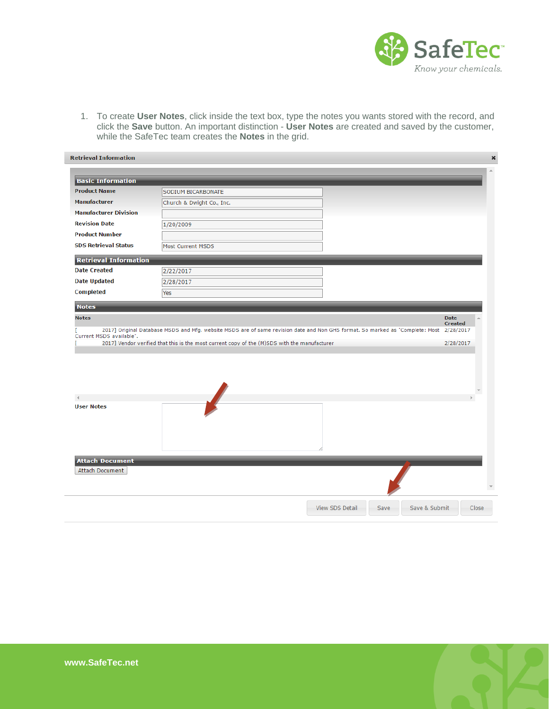

1. To create **User Notes**, click inside the text box, type the notes you wants stored with the record, and click the **Save** button. An important distinction - **User Notes** are created and saved by the customer, while the SafeTec team creates the **Notes** in the grid.

| <b>Basic Information</b>                                      |                                                                                                                                                                                                                                         |  |                               |
|---------------------------------------------------------------|-----------------------------------------------------------------------------------------------------------------------------------------------------------------------------------------------------------------------------------------|--|-------------------------------|
| <b>Product Name</b>                                           | SODIUM BICARBONATE                                                                                                                                                                                                                      |  |                               |
| <b>Manufacturer</b>                                           | Church & Dwight Co., Inc.                                                                                                                                                                                                               |  |                               |
| <b>Manufacturer Division</b>                                  |                                                                                                                                                                                                                                         |  |                               |
| <b>Revision Date</b>                                          | 1/20/2009                                                                                                                                                                                                                               |  |                               |
| <b>Product Number</b>                                         |                                                                                                                                                                                                                                         |  |                               |
| <b>SDS Retrieval Status</b>                                   | <b>Most Current MSDS</b>                                                                                                                                                                                                                |  |                               |
| <b>Retrieval Information</b>                                  |                                                                                                                                                                                                                                         |  |                               |
| <b>Date Created</b>                                           | 2/22/2017                                                                                                                                                                                                                               |  |                               |
| <b>Date Updated</b>                                           | 2/28/2017                                                                                                                                                                                                                               |  |                               |
| <b>Completed</b>                                              | Yes                                                                                                                                                                                                                                     |  |                               |
| <b>Notes</b>                                                  |                                                                                                                                                                                                                                         |  |                               |
|                                                               |                                                                                                                                                                                                                                         |  | <b>Date</b><br><b>Created</b> |
|                                                               | 2017] Original Database MSDS and Mfg. website MSDS are of same revision date and Non GHS format. So marked as "Complete: Most 2/28/2017<br>2017] Vendor verified that this is the most current copy of the (M)SDS with the manufacturer |  | 2/28/2017                     |
| <b>Notes</b><br>Current MSDS available".<br><b>User Notes</b> |                                                                                                                                                                                                                                         |  |                               |
| <b>Attach Document</b><br>Attach Document                     |                                                                                                                                                                                                                                         |  |                               |

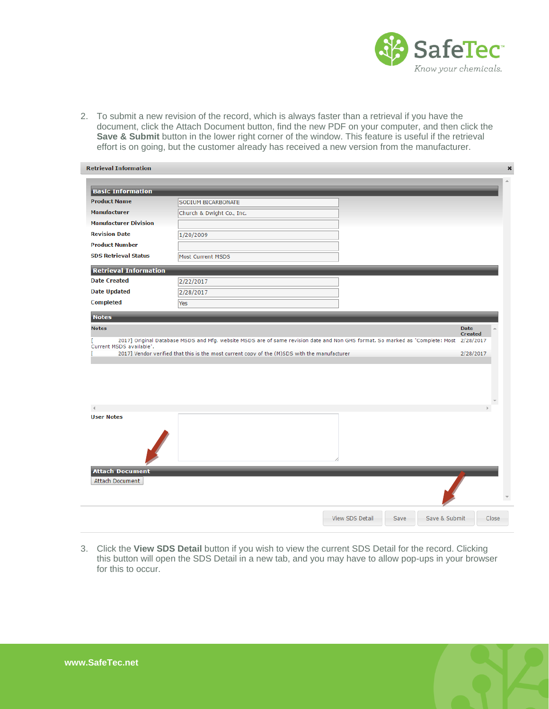

2. To submit a new revision of the record, which is always faster than a retrieval if you have the document, click the Attach Document button, find the new PDF on your computer, and then click the **Save & Submit** button in the lower right corner of the window. This feature is useful if the retrieval effort is on going, but the customer already has received a new version from the manufacturer.

| <b>Retrieval Information</b> |                                                                                                                               |                                |                               |  |
|------------------------------|-------------------------------------------------------------------------------------------------------------------------------|--------------------------------|-------------------------------|--|
|                              |                                                                                                                               |                                |                               |  |
| <b>Basic Information</b>     |                                                                                                                               |                                |                               |  |
| <b>Product Name</b>          | SODIUM BICARBONATE                                                                                                            |                                |                               |  |
| <b>Manufacturer</b>          | Church & Dwight Co., Inc.                                                                                                     |                                |                               |  |
| <b>Manufacturer Division</b> |                                                                                                                               |                                |                               |  |
| <b>Revision Date</b>         | 1/20/2009                                                                                                                     |                                |                               |  |
| <b>Product Number</b>        |                                                                                                                               |                                |                               |  |
| <b>SDS Retrieval Status</b>  | Most Current MSDS                                                                                                             |                                |                               |  |
| <b>Retrieval Information</b> |                                                                                                                               |                                |                               |  |
| <b>Date Created</b>          | 2/22/2017                                                                                                                     |                                |                               |  |
| <b>Date Updated</b>          | 2/28/2017                                                                                                                     |                                |                               |  |
| <b>Completed</b>             | Yes                                                                                                                           |                                |                               |  |
| <b>Notes</b>                 |                                                                                                                               |                                |                               |  |
|                              |                                                                                                                               |                                |                               |  |
| <b>Notes</b>                 |                                                                                                                               |                                | <b>Date</b><br><b>Created</b> |  |
|                              | 2017] Original Database MSDS and Mfg. website MSDS are of same revision date and Non GHS format. So marked as "Complete: Most |                                | 2/28/2017                     |  |
| Current MSDS available".     | 2017] Vendor verified that this is the most current copy of the (M)SDS with the manufacturer                                  |                                | 2/28/2017                     |  |
|                              |                                                                                                                               |                                |                               |  |
|                              |                                                                                                                               |                                |                               |  |
|                              |                                                                                                                               |                                |                               |  |
|                              |                                                                                                                               |                                |                               |  |
|                              |                                                                                                                               |                                |                               |  |
|                              |                                                                                                                               |                                |                               |  |
|                              |                                                                                                                               |                                |                               |  |
|                              |                                                                                                                               |                                |                               |  |
|                              |                                                                                                                               |                                |                               |  |
|                              |                                                                                                                               |                                |                               |  |
|                              |                                                                                                                               |                                |                               |  |
|                              |                                                                                                                               |                                |                               |  |
| <b>User Notes</b>            |                                                                                                                               |                                |                               |  |
|                              |                                                                                                                               |                                |                               |  |
| <b>Attach Document</b>       |                                                                                                                               |                                |                               |  |
| Attach Document              |                                                                                                                               |                                |                               |  |
|                              |                                                                                                                               |                                |                               |  |
|                              |                                                                                                                               |                                |                               |  |
|                              |                                                                                                                               | <b>View SDS Detail</b><br>Save | Save & Submit<br>Close        |  |

3. Click the **View SDS Detail** button if you wish to view the current SDS Detail for the record. Clicking this button will open the SDS Detail in a new tab, and you may have to allow pop-ups in your browser for this to occur.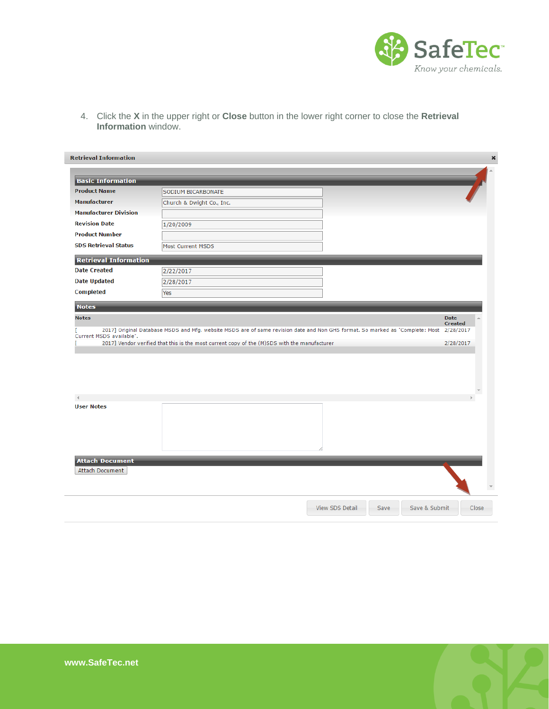

4. Click the **X** in the upper right or **Close** button in the lower right corner to close the **Retrieval Information** window.

| <b>Basic Information</b>                                                                                   |                                                                                                                                                                                                                               |  |                               |  |
|------------------------------------------------------------------------------------------------------------|-------------------------------------------------------------------------------------------------------------------------------------------------------------------------------------------------------------------------------|--|-------------------------------|--|
| <b>Product Name</b>                                                                                        | SODIUM BICARBONATE                                                                                                                                                                                                            |  |                               |  |
| <b>Manufacturer</b>                                                                                        | Church & Dwight Co., Inc.                                                                                                                                                                                                     |  |                               |  |
| <b>Manufacturer Division</b>                                                                               |                                                                                                                                                                                                                               |  |                               |  |
| <b>Revision Date</b>                                                                                       | 1/20/2009                                                                                                                                                                                                                     |  |                               |  |
| <b>Product Number</b>                                                                                      |                                                                                                                                                                                                                               |  |                               |  |
| <b>SDS Retrieval Status</b>                                                                                | <b>Most Current MSDS</b>                                                                                                                                                                                                      |  |                               |  |
| <b>Retrieval Information</b>                                                                               |                                                                                                                                                                                                                               |  |                               |  |
| <b>Date Created</b>                                                                                        | 2/22/2017                                                                                                                                                                                                                     |  |                               |  |
| <b>Date Updated</b>                                                                                        | 2/28/2017                                                                                                                                                                                                                     |  |                               |  |
| <b>Completed</b>                                                                                           | Yes                                                                                                                                                                                                                           |  |                               |  |
| <b>Notes</b>                                                                                               |                                                                                                                                                                                                                               |  |                               |  |
|                                                                                                            |                                                                                                                                                                                                                               |  | <b>Date</b><br><b>Created</b> |  |
|                                                                                                            | 2017] Original Database MSDS and Mfg. website MSDS are of same revision date and Non GHS format. So marked as "Complete: Most<br>2017] Vendor verified that this is the most current copy of the (M)SDS with the manufacturer |  | 2/28/2017<br>2/28/2017        |  |
|                                                                                                            |                                                                                                                                                                                                                               |  |                               |  |
|                                                                                                            |                                                                                                                                                                                                                               |  |                               |  |
|                                                                                                            |                                                                                                                                                                                                                               |  |                               |  |
|                                                                                                            |                                                                                                                                                                                                                               |  |                               |  |
|                                                                                                            |                                                                                                                                                                                                                               |  |                               |  |
|                                                                                                            |                                                                                                                                                                                                                               |  |                               |  |
|                                                                                                            |                                                                                                                                                                                                                               |  |                               |  |
|                                                                                                            |                                                                                                                                                                                                                               |  |                               |  |
|                                                                                                            |                                                                                                                                                                                                                               |  |                               |  |
|                                                                                                            |                                                                                                                                                                                                                               |  |                               |  |
| <b>Notes</b><br>Current MSDS available".<br><b>User Notes</b><br><b>Attach Document</b><br>Attach Document |                                                                                                                                                                                                                               |  |                               |  |

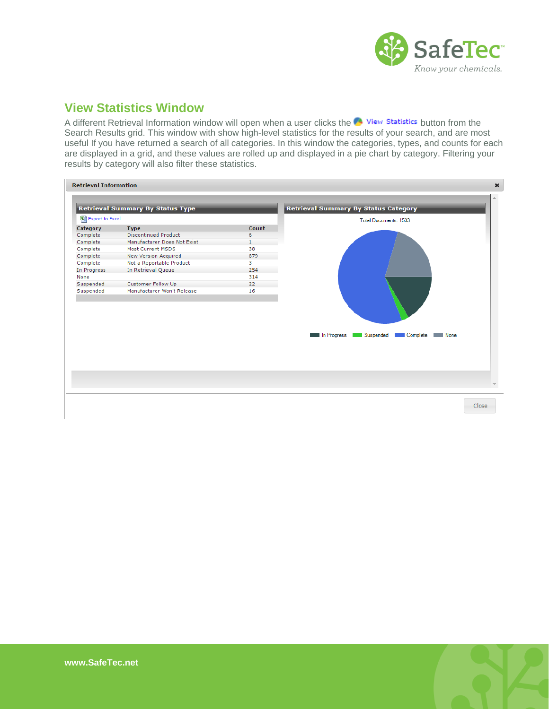

## <span id="page-8-0"></span>**View Statistics Window**

A different Retrieval Information window will open when a user clicks the  $\bullet$  View Statistics button from the Search Results grid. This window with show high-level statistics for the results of your search, and are most useful If you have returned a search of all categories. In this window the categories, types, and counts for each are displayed in a grid, and these values are rolled up and displayed in a pie chart by category. Filtering your results by category will also filter these statistics.